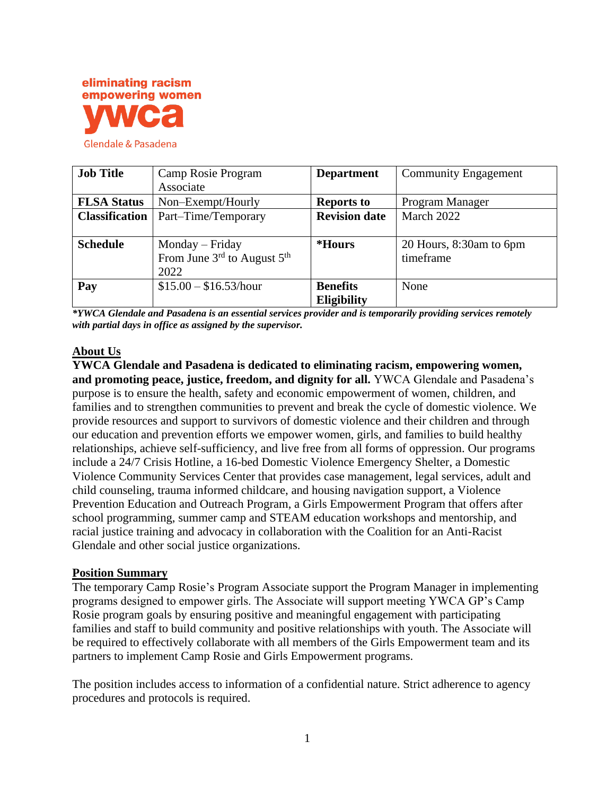

| <b>Job Title</b>      | Camp Rosie Program                                  | <b>Department</b>    | <b>Community Engagement</b> |
|-----------------------|-----------------------------------------------------|----------------------|-----------------------------|
|                       | Associate                                           |                      |                             |
| <b>FLSA Status</b>    | Non-Exempt/Hourly                                   | <b>Reports to</b>    | Program Manager             |
| <b>Classification</b> | Part-Time/Temporary                                 | <b>Revision date</b> | March 2022                  |
|                       |                                                     |                      |                             |
| <b>Schedule</b>       | $Monday-Friday$                                     | <i><b>*Hours</b></i> | 20 Hours, 8:30am to 6pm     |
|                       | From June $3^{\text{rd}}$ to August $5^{\text{th}}$ |                      | timeframe                   |
|                       | 2022                                                |                      |                             |
| Pay                   | $$15.00 - $16.53/hour$                              | <b>Benefits</b>      | None                        |
|                       |                                                     | <b>Eligibility</b>   |                             |

*\*YWCA Glendale and Pasadena is an essential services provider and is temporarily providing services remotely with partial days in office as assigned by the supervisor.*

#### **About Us**

**YWCA Glendale and Pasadena is dedicated to eliminating racism, empowering women, and promoting peace, justice, freedom, and dignity for all.** YWCA Glendale and Pasadena's purpose is to ensure the health, safety and economic empowerment of women, children, and families and to strengthen communities to prevent and break the cycle of domestic violence. We provide resources and support to survivors of domestic violence and their children and through our education and prevention efforts we empower women, girls, and families to build healthy relationships, achieve self-sufficiency, and live free from all forms of oppression. Our programs include a 24/7 Crisis Hotline, a 16-bed Domestic Violence Emergency Shelter, a Domestic Violence Community Services Center that provides case management, legal services, adult and child counseling, trauma informed childcare, and housing navigation support, a Violence Prevention Education and Outreach Program, a Girls Empowerment Program that offers after school programming, summer camp and STEAM education workshops and mentorship, and racial justice training and advocacy in collaboration with the Coalition for an Anti-Racist Glendale and other social justice organizations.

#### **Position Summary**

The temporary Camp Rosie's Program Associate support the Program Manager in implementing programs designed to empower girls. The Associate will support meeting YWCA GP's Camp Rosie program goals by ensuring positive and meaningful engagement with participating families and staff to build community and positive relationships with youth. The Associate will be required to effectively collaborate with all members of the Girls Empowerment team and its partners to implement Camp Rosie and Girls Empowerment programs.

The position includes access to information of a confidential nature. Strict adherence to agency procedures and protocols is required.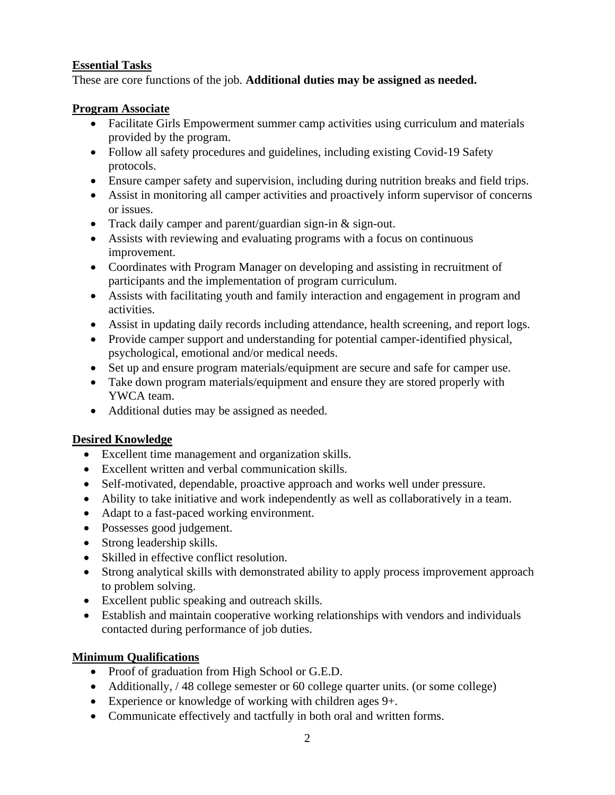### **Essential Tasks**

These are core functions of the job. **Additional duties may be assigned as needed.**

#### **Program Associate**

- Facilitate Girls Empowerment summer camp activities using curriculum and materials provided by the program.
- Follow all safety procedures and guidelines, including existing Covid-19 Safety protocols.
- Ensure camper safety and supervision, including during nutrition breaks and field trips.
- Assist in monitoring all camper activities and proactively inform supervisor of concerns or issues.
- Track daily camper and parent/guardian sign-in & sign-out.
- Assists with reviewing and evaluating programs with a focus on continuous improvement.
- Coordinates with Program Manager on developing and assisting in recruitment of participants and the implementation of program curriculum.
- Assists with facilitating youth and family interaction and engagement in program and activities.
- Assist in updating daily records including attendance, health screening, and report logs.
- Provide camper support and understanding for potential camper-identified physical, psychological, emotional and/or medical needs.
- Set up and ensure program materials/equipment are secure and safe for camper use.
- Take down program materials/equipment and ensure they are stored properly with YWCA team.
- Additional duties may be assigned as needed.

# **Desired Knowledge**

- Excellent time management and organization skills.
- Excellent written and verbal communication skills.
- Self-motivated, dependable, proactive approach and works well under pressure.
- Ability to take initiative and work independently as well as collaboratively in a team.
- Adapt to a fast-paced working environment.
- Possesses good judgement.
- Strong leadership skills.
- Skilled in effective conflict resolution.
- Strong analytical skills with demonstrated ability to apply process improvement approach to problem solving.
- Excellent public speaking and outreach skills.
- Establish and maintain cooperative working relationships with vendors and individuals contacted during performance of job duties.

# **Minimum Qualifications**

- Proof of graduation from High School or G.E.D.
- Additionally, / 48 college semester or 60 college quarter units. (or some college)
- Experience or knowledge of working with children ages 9+.
- Communicate effectively and tactfully in both oral and written forms.